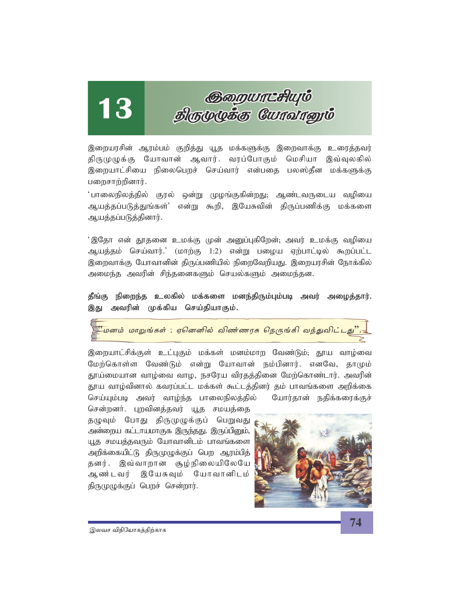# 13

# குறையாட்சியும்<br>திருமுழுக்கு யோவானும்

இறையரசின் ஆரம்பம் குறித்து யூத மக்களுக்கு இறைவாக்கு உரைத்தவர் திருமுழுக்கு யோவான் ஆவார். வரப்போகும் மெசியா இவ்வுலகில் இறையாட்சியை நிலைபெறச் செய்வார் என்பதை பலஸ்தீன மக்களுக்கு பறைசாற்றினார்.

்பாலைநிலத்தில் குரல் ஒன்று முழங்குகின்றது; ஆண்டவருடைய வழியை ஆயத்தப்படுத்துங்கள்' என்று கூறி, இயேசுவின் திருப்பணிக்கு மக்களை ஆயத்தப்படுத்தினார்.

'இதோ என் தூதனை உமக்கு முன் அனுப்புகிறேன்; அவர் உமக்கு வழியை ஆயத்தம் செய்வார்.' (மாற்கு 1:2) என்று பழைய ஏற்பாட்டில் கூறப்பட்ட இறைவாக்கு யோவானின் திருப்பணியில் நிறைவேறியது. இறையரசின் நோக்கில் அமைந்த அவரின் சிந்தனைகளும் செயல்களும் அமைந்தன.

தீங்கு நிறைந்த உலகில் மக்களை மனந்திரும்பும்படி அவர் அழைத்தார். இது அவரின் முக்கிய செய்தியாகும்.

டுமேனம் மாறுங்கள் ; ஏனெனில் விண்ணரசு நெருங்கி வந்துவிட்டது".<del>.</del>

இறையாட்சிக்குள் உட்புகும் மக்கள் மனம்மாற வேண்டும்; தூய வாழ்வை மேற்கொள்ள வேண்டும் என்று யோவான் நம்பினார். எனவே, தாமும் தூய்மையான வாழ்வை வாழ, நசரேய விரதத்தினை மேற்கொண்டார். அவரின் தூய வாழ்வினால் கவரப்பட்ட மக்கள் கூட்டத்தினர் தம் பாவங்களை அறிக்கை செய்யும்படி அவர் வாழ்ந்த பாலைநிலத்தில் யோர்தான் நதிக்கரைக்குச்

சென்றனர். புறவினத்தவர் யூத சமயத்தை தழுவும் போது திருமுழுக்குப் பெறுவது அன்றைய கட்டாயமாகுக இருந்தது. இருப்பிறும், யூத சமயத்தவரும் யோவானிடம் பாவங்களை அறிக்கையிட்டு திருமுழுக்குப் பெற ஆரம்பித் தனர். இவ்வாறான சூழ்நிலையிலேயே ஆண்டவர் இயேசுவும் யோவானிடம் திருமுழுக்குப் பெறச் சென்றார்.

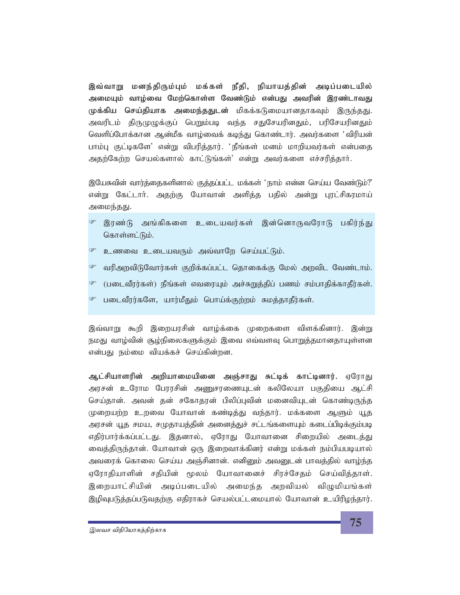இவ்வாறு மனந்திரும்பும் மக்கள் நீதி, நியாயத்தின் அடிப்படையில் அமையும் வாழ்வை மேற்கொள்ள வேண்டும் என்பது அவரின் இரண்டாவது முக்கிய செய்தியாக அமைந்ததுடன் மிகக்கடுமையானதாகவும் இருந்தது. அவரிடம் திருமுழுக்குப் பெறும்படி வந்த சதுசேயரினதும், பரிசேயரினதும் வெளிப்போக்கான ஆன்மீக வாழ்வைக் கடிந்து கொண்டார். அவர்களை 'விரியன் பாம்பு குட்டிகளே' என்று விபரித்தார். 'நீங்கள் மனம் மாறியவர்கள் என்பதை அதற்கேற்ற செயல்களால் காட்டுங்கள்' என்று அவர்களை எச்சரித்தாா்.

இயேசுவின் வார்த்தைகளினால் குத்தப்பட்ட மக்கள் 'நாம் என்ன செய்ய வேண்டும்?' என்று கேட்டாா். அதற்கு யோவான் அளித்த பதில் அன்று புரட்சிகரமாய் அமைந்தது.

- ீ இரண்டு அங்கிகளை உடையவர்கள் இன்னொருவரோடு பகிர்ந்து கொள்ளட்டும்.
- <sup>ை</sup> உணவை உடையவரும் அவ்வாறே செய்யட்டும்.
- வரிஅறவிடுவோர்கள் குறிக்கப்பட்ட தொகைக்கு மேல் அறவிட வேண்டாம்.
- <sup>ை</sup> (படைவீரர்கள்) நீங்கள் எவரையும் அச்சுறுக்கிப் பணம் சம்பாகிக்காகீர்கள்.
- படைவீரர்களே, யார்மீதும் பொய்க்குற்றம் சுமத்தாதீர்கள்.

இவ்வாறு கூறி இறையரசின் வாழ்க்கை முறைகளை விளக்கினார். இன்று நமது வாழ்வின் சூழ்நிலைகளுக்கும் இவை எவ்வளவு பொறுத்தமானதாயுள்ளன என்பது நம்மை வியக்கச் செய்கின்றன.

ஆட்சியாளரின் அறியாமையினை அஞ்சாது சுட்டிக் காட்டினார். ஏரோது அரசன் உரோம பேரரசின் அணுசரணையுடன் கலிலேயா பகுதியை ஆட்சி செய்தான். அவன் தன் சகோதரன் பிலிப்புவின் மனைவியுடன் கொண்டிருந்த முறையற்ற உறவை யோவான் கண்டித்து வந்தார். மக்களை ஆளும் யூத அரசன் யூத சமய, சமுதாயத்தின் அனைத்துச் சட்டங்களையும் கடைப்பிடிக்கும்படி எதிர்பார்க்கப்பட்டது. இதனால், ஏரோது யோவானை சிறையில் அடைத்து வைத்திருந்தான். யோவான் ஒரு இறைவாக்கினர் என்று மக்கள் நம்பியபடியால் அவரைக் கொலை செய்ய அஞ்சினான். எனினும் அவனுடன் பாவத்தில் வாழ்ந்த ஏரோதியாளின் சதியின் மூலம் யோவானைச் சிரச்சேதம் செய்வித்தாள். இறையாட்சியின் அடிப்படையில் அமைந்த அறவியல் விழுமியங்கள் இழிவுபடுத்தப்படுவதற்கு எதிராகச் செயல்பட்டமையால் யோவான் உயிரிழந்தார்.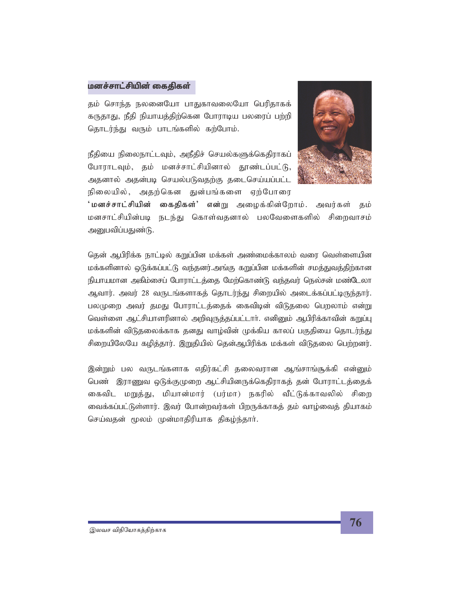#### மனச்சாட்சியின் கைதிகள்

தம் சொந்த நலனையோ பாதுகாவலையோ பெரிதாகக் கருதாது, நீதி நியாயத்திற்கென போராடிய பலரைப் பற்றி தொடர்ந்து வரும் பாடங்களில் கற்போம்.

நீதியை நிலைநாட்டவும், அநீதிச் செயல்களுக்கெதிராகப் போராடவும், தம் மனச்சாட்சியினால் தூண்டப்பட்டு, அதனால் அதன்படி செயல்படுவதற்கு தடைசெய்யப்பட்ட நிலையில், அதற்கென துன்பங்களை ஏற்போரை



'மனச்சாட்சியின் கைதிகள்' என்று அழைக்கின்றோம். அவர்கள் தம் மனசாட்சியின்படி நடந்து கொள்வதனால் பலவேளைகளில் சிறைவாசம் அனுபவிப்பதுண்டு.

தென் ஆபிரிக்க நாட்டில் கறுப்பின மக்கள் அண்மைக்காலம் வரை வெள்ளையின மக்களினால் ஒடுக்கப்பட்டு வந்தனர்.அங்கு கறுப்பின மக்களின் சமத்துவத்திற்கான நியாயமான அகிம்சைப் போராட்டத்தை மேற்கொண்டு வந்தவர் நெல்சன் மண்டேலா ஆவார். அவர் 28 வருடங்களாகத் தொடர்ந்து சிறையில் அடைக்கப்பட்டிருந்தார். பலமுறை அவர் தமது போராட்டத்தைக் கைவிடின் விடுதலை பெறலாம் என்று வெள்ளை ஆட்சியாளரினால் அறிவுருத்தப்பட்டார். எனினும் ஆபிரிக்காவின் கறுப்பு மக்களின் விடுதலைக்காக தனது வாழ்வின் முக்கிய காலப் பகுதியை தொடர்ந்து சிறையிலேயே கழித்தார். இறுதியில் தென்ஆபிரிக்க மக்கள் விடுதலை பெற்றனர்.

இன்றும் பல வருடங்களாக எதிர்கட்சி தலைவரான ஆங்சாங்சூக்கி என்னும் பெண் இராணுவ ஒடுக்குமுறை ஆட்சியினருக்கெதிராகத் தன் போராட்டத்தைக் கைவிட மறுத்து, மியான்மார் (பர்மா) நகரில் வீட்டுக்காவலில் சிறை வைக்கப்பட்டுள்ளார். இவர் போன்றவர்கள் பிறருக்காகக் கம் வாம்வைக் கியாகம் செய்வதன் மூலம் முன்மாதிரியாக திகழ்ந்தாா்.